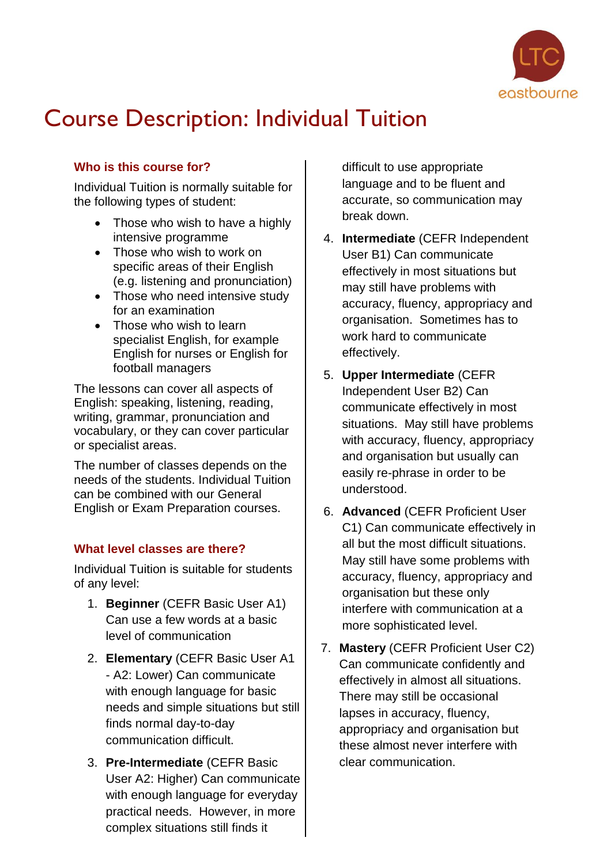

# Course Description: Individual Tuition

# **Who is this course for?**

Individual Tuition is normally suitable for the following types of student:

- Those who wish to have a highly intensive programme
- Those who wish to work on specific areas of their English (e.g. listening and pronunciation)
- Those who need intensive study for an examination
- Those who wish to learn specialist English, for example English for nurses or English for football managers

The lessons can cover all aspects of English: speaking, listening, reading, writing, grammar, pronunciation and vocabulary, or they can cover particular or specialist areas.

The number of classes depends on the needs of the students. Individual Tuition can be combined with our General English or Exam Preparation courses.

## **What level classes are there?**

Individual Tuition is suitable for students of any level:

- 1. **Beginner** (CEFR Basic User A1) Can use a few words at a basic level of communication
- 2. **Elementary** (CEFR Basic User A1 - A2: Lower) Can communicate with enough language for basic needs and simple situations but still finds normal day-to-day communication difficult.
- 3. **Pre-Intermediate** (CEFR Basic User A2: Higher) Can communicate with enough language for everyday practical needs. However, in more complex situations still finds it

difficult to use appropriate language and to be fluent and accurate, so communication may break down.

- 4. **Intermediate** (CEFR Independent User B1) Can communicate effectively in most situations but may still have problems with accuracy, fluency, appropriacy and organisation. Sometimes has to work hard to communicate effectively.
- 5. **Upper Intermediate** (CEFR Independent User B2) Can communicate effectively in most situations. May still have problems with accuracy, fluency, appropriacy and organisation but usually can easily re-phrase in order to be understood.
- 6. **Advanced** (CEFR Proficient User C1) Can communicate effectively in all but the most difficult situations. May still have some problems with accuracy, fluency, appropriacy and organisation but these only interfere with communication at a more sophisticated level.
- 7. **Mastery** (CEFR Proficient User C2) Can communicate confidently and effectively in almost all situations. There may still be occasional lapses in accuracy, fluency, appropriacy and organisation but these almost never interfere with clear communication.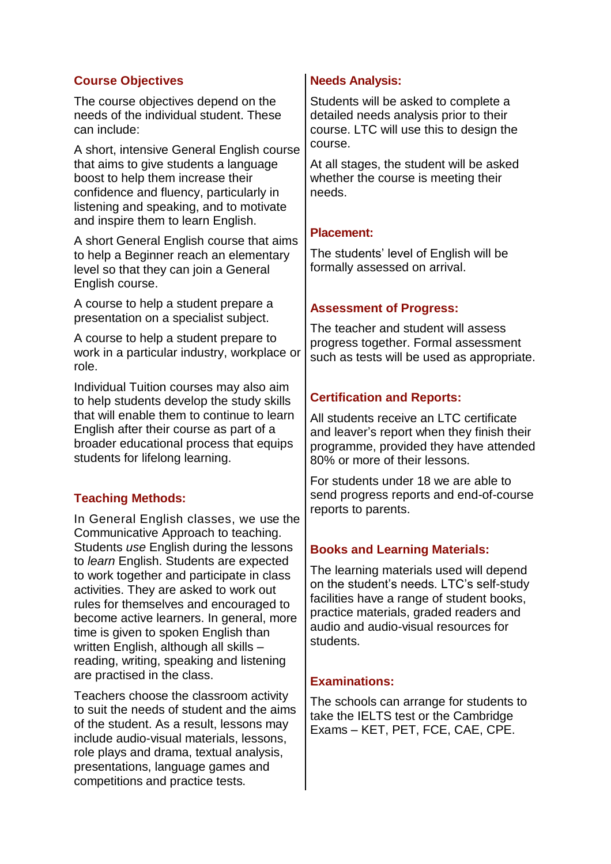## **Course Objectives**

The course objectives depend on the needs of the individual student. These can include:

A short, intensive General English course that aims to give students a language boost to help them increase their confidence and fluency, particularly in listening and speaking, and to motivate and inspire them to learn English.

A short General English course that aims to help a Beginner reach an elementary level so that they can join a General English course.

A course to help a student prepare a presentation on a specialist subject.

A course to help a student prepare to work in a particular industry, workplace or role.

Individual Tuition courses may also aim to help students develop the study skills that will enable them to continue to learn English after their course as part of a broader educational process that equips students for lifelong learning.

# **Teaching Methods:**

In General English classes, we use the Communicative Approach to teaching. Students *use* English during the lessons to *learn* English. Students are expected to work together and participate in class activities. They are asked to work out rules for themselves and encouraged to become active learners. In general, more time is given to spoken English than written English, although all skills – reading, writing, speaking and listening are practised in the class.

Teachers choose the classroom activity to suit the needs of student and the aims of the student. As a result, lessons may include audio-visual materials, lessons, role plays and drama, textual analysis, presentations, language games and competitions and practice tests.

## **Needs Analysis:**

Students will be asked to complete a detailed needs analysis prior to their course. LTC will use this to design the course.

At all stages, the student will be asked whether the course is meeting their needs.

## **Placement:**

The students' level of English will be formally assessed on arrival.

# **Assessment of Progress:**

The teacher and student will assess progress together. Formal assessment such as tests will be used as appropriate.

# **Certification and Reports:**

All students receive an LTC certificate and leaver's report when they finish their programme, provided they have attended 80% or more of their lessons.

For students under 18 we are able to send progress reports and end-of-course reports to parents.

## **Books and Learning Materials:**

The learning materials used will depend on the student's needs. LTC's self-study facilities have a range of student books, practice materials, graded readers and audio and audio-visual resources for students.

## **Examinations:**

The schools can arrange for students to take the IELTS test or the Cambridge Exams – KET, PET, FCE, CAE, CPE.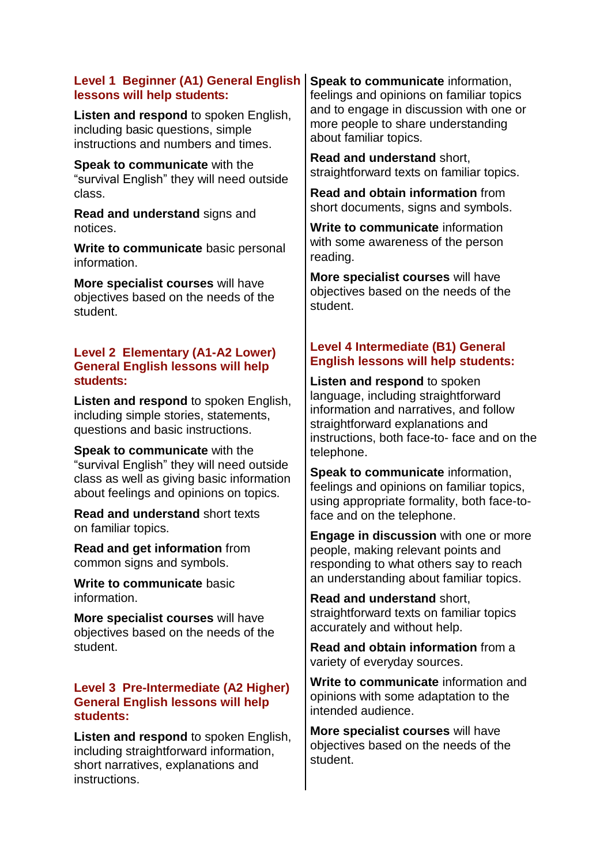#### **Level 1 Beginner (A1) General English lessons will help students:**

**Listen and respond** to spoken English, including basic questions, simple instructions and numbers and times.

**Speak to communicate** with the "survival English" they will need outside class.

**Read and understand** signs and notices.

**Write to communicate** basic personal information.

**More specialist courses** will have objectives based on the needs of the student.

#### **Level 2 Elementary (A1-A2 Lower) General English lessons will help students:**

**Listen and respond** to spoken English, including simple stories, statements, questions and basic instructions.

**Speak to communicate** with the "survival English" they will need outside class as well as giving basic information about feelings and opinions on topics.

**Read and understand** short texts on familiar topics.

**Read and get information** from common signs and symbols.

**Write to communicate** basic information.

**More specialist courses** will have objectives based on the needs of the student.

#### **Level 3 Pre-Intermediate (A2 Higher) General English lessons will help students:**

**Listen and respond** to spoken English, including straightforward information, short narratives, explanations and instructions.

**Speak to communicate** information, feelings and opinions on familiar topics and to engage in discussion with one or more people to share understanding about familiar topics.

**Read and understand** short, straightforward texts on familiar topics.

**Read and obtain information** from short documents, signs and symbols.

**Write to communicate** information with some awareness of the person reading.

**More specialist courses** will have objectives based on the needs of the student.

# **Level 4 Intermediate (B1) General English lessons will help students:**

**Listen and respond** to spoken language, including straightforward information and narratives, and follow straightforward explanations and instructions, both face-to- face and on the telephone.

**Speak to communicate** information, feelings and opinions on familiar topics, using appropriate formality, both face-toface and on the telephone.

**Engage in discussion** with one or more people, making relevant points and responding to what others say to reach an understanding about familiar topics.

**Read and understand** short, straightforward texts on familiar topics accurately and without help.

**Read and obtain information** from a variety of everyday sources.

**Write to communicate** information and opinions with some adaptation to the intended audience.

**More specialist courses** will have objectives based on the needs of the student.